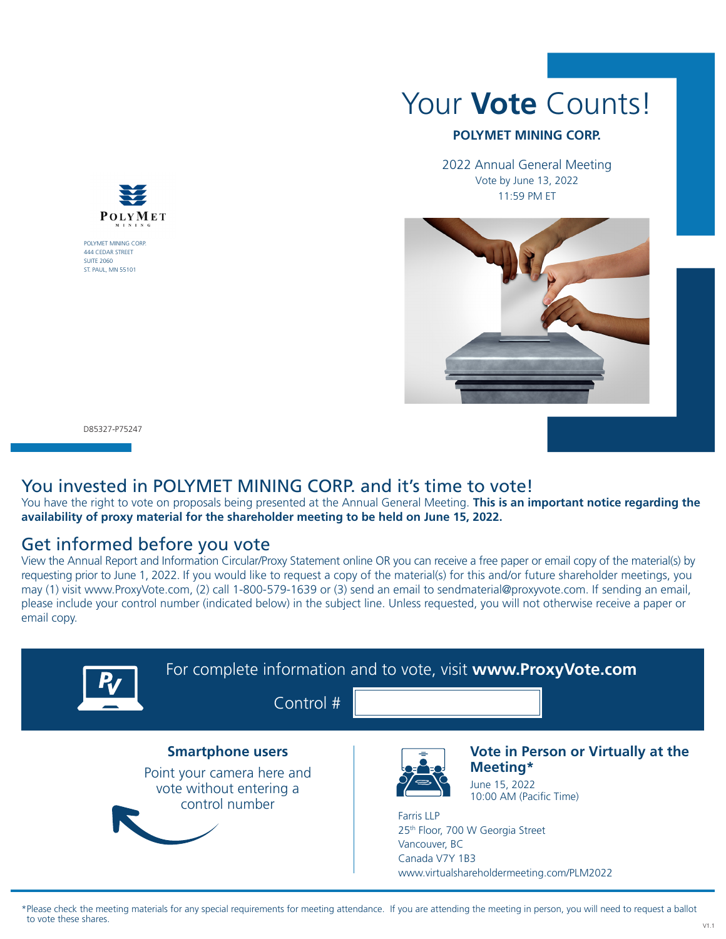

POLYMET MINING CORP. 444 CEDAR STREET SUITE 2060 ST. PAUL, MN 55101

# Your **Vote** Counts!

#### **POLYMET MINING CORP.**

2022 Annual General Meeting Vote by June 13, 2022 11:59 PM ET



D85327-P75247

#### You invested in POLYMET MINING CORP. and it's time to vote!

You have the right to vote on proposals being presented at the Annual General Meeting. **This is an important notice regarding the availability of proxy material for the shareholder meeting to be held on June 15, 2022.**

### Get informed before you vote

View the Annual Report and Information Circular/Proxy Statement online OR you can receive a free paper or email copy of the material(s) by requesting prior to June 1, 2022. If you would like to request a copy of the material(s) for this and/or future shareholder meetings, you may (1) visit www.ProxyVote.com, (2) call 1-800-579-1639 or (3) send an email to sendmaterial@proxyvote.com. If sending an email, please include your control number (indicated below) in the subject line. Unless requested, you will not otherwise receive a paper or email copy.



\*Please check the meeting materials for any special requirements for meeting attendance. If you are attending the meeting in person, you will need to request a ballot to vote these shares.